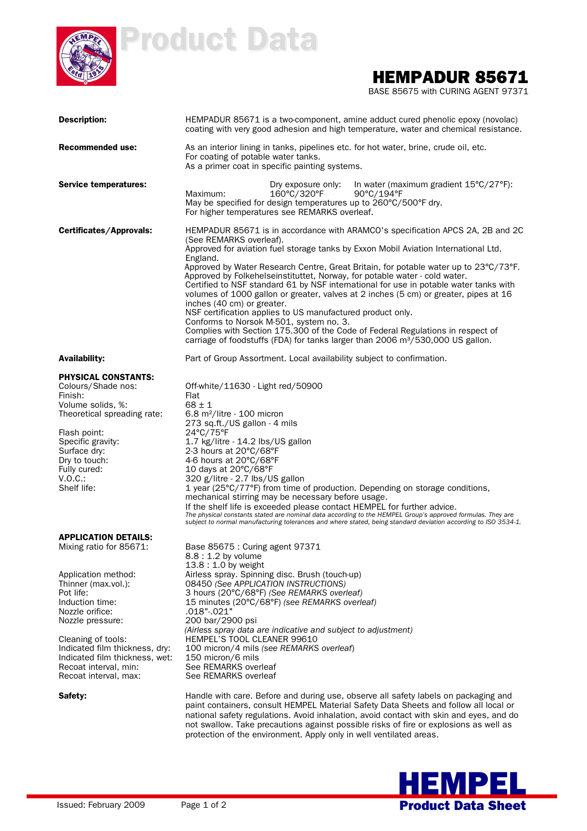

# Product Data

### HEMPADUR 85671

BASE 85675 with CURING AGENT 97371

| <b>Description:</b>                                                                                                                                                                                                                | HEMPADUR 85671 is a two-component, amine adduct cured phenolic epoxy (novolac)<br>coating with very good adhesion and high temperature, water and chemical resistance.                                                                                                                                                                                                                                                                          |  |  |  |  |
|------------------------------------------------------------------------------------------------------------------------------------------------------------------------------------------------------------------------------------|-------------------------------------------------------------------------------------------------------------------------------------------------------------------------------------------------------------------------------------------------------------------------------------------------------------------------------------------------------------------------------------------------------------------------------------------------|--|--|--|--|
| Recommended use:                                                                                                                                                                                                                   | As an interior lining in tanks, pipelines etc. for hot water, brine, crude oil, etc.<br>For coating of potable water tanks.<br>As a primer coat in specific painting systems.                                                                                                                                                                                                                                                                   |  |  |  |  |
| <b>Service temperatures:</b>                                                                                                                                                                                                       | In water (maximum gradient $15^{\circ}C/27^{\circ}F$ ):<br>Dry exposure only:<br>160°C/320°F<br>Maximum:<br>$90^{\circ}$ C/194 $^{\circ}$ F<br>May be specified for design temperatures up to 260°C/500°F dry.<br>For higher temperatures see REMARKS overleaf.                                                                                                                                                                                 |  |  |  |  |
| Certificates/Approvals:                                                                                                                                                                                                            | HEMPADUR 85671 is in accordance with ARAMCO's specification APCS 2A, 2B and 2C<br>(See REMARKS overleaf).                                                                                                                                                                                                                                                                                                                                       |  |  |  |  |
|                                                                                                                                                                                                                                    | Approved for aviation fuel storage tanks by Exxon Mobil Aviation International Ltd.<br>England.                                                                                                                                                                                                                                                                                                                                                 |  |  |  |  |
|                                                                                                                                                                                                                                    | Approved by Water Research Centre, Great Britain, for potable water up to 23°C/73°F.<br>Approved by Folkehelseinstituttet, Norway, for potable water - cold water.<br>Certified to NSF standard 61 by NSF international for use in potable water tanks with<br>volumes of 1000 gallon or greater, valves at 2 inches (5 cm) or greater, pipes at 16<br>inches (40 cm) or greater.<br>NSF certification applies to US manufactured product only. |  |  |  |  |
|                                                                                                                                                                                                                                    | Conforms to Norsok M-501, system no. 3.<br>Complies with Section 175.300 of the Code of Federal Regulations in respect of                                                                                                                                                                                                                                                                                                                       |  |  |  |  |
|                                                                                                                                                                                                                                    | carriage of foodstuffs (FDA) for tanks larger than 2006 $m^3/530,000$ US gallon.                                                                                                                                                                                                                                                                                                                                                                |  |  |  |  |
| <b>Availability:</b>                                                                                                                                                                                                               | Part of Group Assortment. Local availability subject to confirmation.                                                                                                                                                                                                                                                                                                                                                                           |  |  |  |  |
| <b>PHYSICAL CONSTANTS:</b><br>Colours/Shade nos:<br>Finish:<br>Volume solids, %:<br>Theoretical spreading rate:<br>Flash point:<br>Specific gravity:<br>Surface dry:<br>Dry to touch:<br>Fully cured:<br>$V.O.C.$ :<br>Shelf life: | Off-white/11630 - Light red/50900<br>Flat<br>$68 \pm 1$<br>$6.8$ m <sup>2</sup> /litre - 100 micron<br>273 sq.ft./US gallon - 4 mils<br>24°C/75°F<br>1.7 kg/litre - 14.2 lbs/US gallon<br>2-3 hours at 20°C/68°F<br>4-6 hours at 20°C/68°F<br>10 days at 20°C/68°F<br>320 g/litre - 2.7 lbs/US gallon<br>1 year (25°C/77°F) from time of production. Depending on storage conditions,<br>mechanical stirring may be necessary before usage.     |  |  |  |  |
|                                                                                                                                                                                                                                    | If the shelf life is exceeded please contact HEMPEL for further advice.<br>The physical constants stated are nominal data according to the HEMPEL Group's approved formulas. They are<br>subject to normal manufacturing tolerances and where stated, being standard deviation according to ISO 3534-1.                                                                                                                                         |  |  |  |  |
| <b>APPLICATION DETAILS:</b><br>Mixing ratio for 85671:                                                                                                                                                                             | Base 85675 : Curing agent 97371<br>$8.8:1.2$ by volume<br>$13.8:1.0$ by weight                                                                                                                                                                                                                                                                                                                                                                  |  |  |  |  |
| Application method:<br>Thinner (max.vol.):<br>Pot life:<br>Induction time:<br>Nozzle orifice:<br>Nozzle pressure:                                                                                                                  | Airless spray. Spinning disc. Brush (touch-up)<br>08450 (See APPLICATION INSTRUCTIONS)<br>3 hours (20°C/68°F) (See REMARKS overleaf)<br>15 minutes (20°C/68°F) (see REMARKS overleaf)<br>.018"-.021"<br>200 bar/2900 psi                                                                                                                                                                                                                        |  |  |  |  |
| Cleaning of tools:<br>Indicated film thickness, dry:<br>Indicated film thickness, wet:<br>Recoat interval, min:<br>Recoat interval, max:                                                                                           | (Airless spray data are indicative and subject to adjustment)<br>HEMPEL'S TOOL CLEANER 99610<br>100 micron/4 mils (see REMARKS overleaf)<br>150 micron/6 mils<br>See REMARKS overleaf<br>See REMARKS overleaf                                                                                                                                                                                                                                   |  |  |  |  |
| Safety:                                                                                                                                                                                                                            | Handle with care. Before and during use, observe all safety labels on packaging and<br>paint containers, consult HEMPEL Material Safety Data Sheets and follow all local or<br>national safety regulations. Avoid inhalation, avoid contact with skin and eyes, and do<br>not swallow. Take precautions against possible risks of fire or explosions as well as                                                                                 |  |  |  |  |

protection of the environment. Apply only in well ventilated areas.

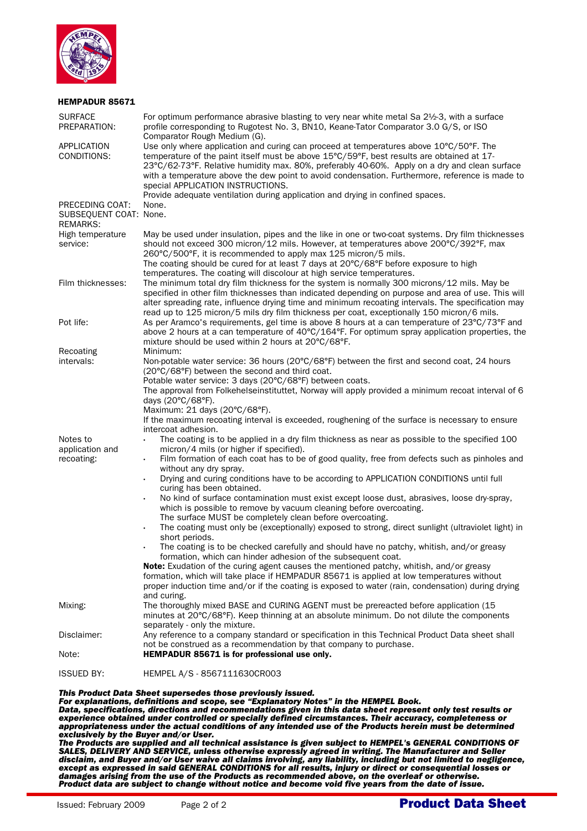

| <b>SURFACE</b><br>PREPARATION:                               | For optimum performance abrasive blasting to very near white metal Sa 2½-3, with a surface<br>profile corresponding to Rugotest No. 3, BN10, Keane-Tator Comparator 3.0 G/S, or ISO<br>Comparator Rough Medium (G).                                                                                                                                                                                                                                                                                                                                                                                                                                                                                                                                                                                                                                                                                                                                                                                                                                                                                                                                             |
|--------------------------------------------------------------|-----------------------------------------------------------------------------------------------------------------------------------------------------------------------------------------------------------------------------------------------------------------------------------------------------------------------------------------------------------------------------------------------------------------------------------------------------------------------------------------------------------------------------------------------------------------------------------------------------------------------------------------------------------------------------------------------------------------------------------------------------------------------------------------------------------------------------------------------------------------------------------------------------------------------------------------------------------------------------------------------------------------------------------------------------------------------------------------------------------------------------------------------------------------|
| APPLICATION<br>CONDITIONS:                                   | Use only where application and curing can proceed at temperatures above 10°C/50°F. The<br>temperature of the paint itself must be above 15°C/59°F, best results are obtained at 17-<br>23°C/62-73°F. Relative humidity max. 80%, preferably 40-60%. Apply on a dry and clean surface<br>with a temperature above the dew point to avoid condensation. Furthermore, reference is made to<br>special APPLICATION INSTRUCTIONS.<br>Provide adequate ventilation during application and drying in confined spaces.                                                                                                                                                                                                                                                                                                                                                                                                                                                                                                                                                                                                                                                  |
| PRECEDING COAT:<br>SUBSEQUENT COAT: None.<br><b>REMARKS:</b> | None.                                                                                                                                                                                                                                                                                                                                                                                                                                                                                                                                                                                                                                                                                                                                                                                                                                                                                                                                                                                                                                                                                                                                                           |
| High temperature<br>service:                                 | May be used under insulation, pipes and the like in one or two-coat systems. Dry film thicknesses<br>should not exceed 300 micron/12 mils. However, at temperatures above 200°C/392°F, max<br>260°C/500°F, it is recommended to apply max 125 micron/5 mils.<br>The coating should be cured for at least 7 days at $20^{\circ}C/68^{\circ}F$ before exposure to high<br>temperatures. The coating will discolour at high service temperatures.                                                                                                                                                                                                                                                                                                                                                                                                                                                                                                                                                                                                                                                                                                                  |
| Film thicknesses:                                            | The minimum total dry film thickness for the system is normally 300 microns/12 mils. May be<br>specified in other film thicknesses than indicated depending on purpose and area of use. This will<br>alter spreading rate, influence drying time and minimum recoating intervals. The specification may<br>read up to 125 micron/5 mils dry film thickness per coat, exceptionally 150 micron/6 mils.                                                                                                                                                                                                                                                                                                                                                                                                                                                                                                                                                                                                                                                                                                                                                           |
| Pot life:                                                    | As per Aramco's requirements, gel time is above 8 hours at a can temperature of 23°C/73°F and<br>above 2 hours at a can temperature of $40^{\circ}C/164^{\circ}F$ . For optimum spray application properties, the<br>mixture should be used within 2 hours at 20°C/68°F.                                                                                                                                                                                                                                                                                                                                                                                                                                                                                                                                                                                                                                                                                                                                                                                                                                                                                        |
| Recoating<br>intervals:                                      | Minimum:<br>Non-potable water service: 36 hours (20°C/68°F) between the first and second coat, 24 hours<br>(20°C/68°F) between the second and third coat.<br>Potable water service: 3 days (20°C/68°F) between coats.<br>The approval from Folkehelseinstituttet, Norway will apply provided a minimum recoat interval of 6<br>days (20°C/68°F).<br>Maximum: 21 days (20°C/68°F).<br>If the maximum recoating interval is exceeded, roughening of the surface is necessary to ensure<br>intercoat adhesion.                                                                                                                                                                                                                                                                                                                                                                                                                                                                                                                                                                                                                                                     |
| Notes to<br>application and<br>recoating:                    | The coating is to be applied in a dry film thickness as near as possible to the specified 100<br>$\ddot{\phantom{0}}$<br>micron/4 mils (or higher if specified).<br>Film formation of each coat has to be of good quality, free from defects such as pinholes and<br>$\bullet$<br>without any dry spray.<br>Drying and curing conditions have to be according to APPLICATION CONDITIONS until full<br>curing has been obtained.<br>No kind of surface contamination must exist except loose dust, abrasives, loose dry-spray,<br>which is possible to remove by vacuum cleaning before overcoating.<br>The surface MUST be completely clean before overcoating.<br>The coating must only be (exceptionally) exposed to strong, direct sunlight (ultraviolet light) in<br>$\bullet$<br>short periods.<br>The coating is to be checked carefully and should have no patchy, whitish, and/or greasy<br>formation, which can hinder adhesion of the subsequent coat.<br><b>Note:</b> Exudation of the curing agent causes the mentioned patchy, whitish, and/or greasy<br>formation, which will take place if HEMPADUR 85671 is applied at low temperatures without |
| Mixing:                                                      | proper induction time and/or if the coating is exposed to water (rain, condensation) during drying<br>and curing.<br>The thoroughly mixed BASE and CURING AGENT must be prereacted before application (15                                                                                                                                                                                                                                                                                                                                                                                                                                                                                                                                                                                                                                                                                                                                                                                                                                                                                                                                                       |
|                                                              | minutes at 20°C/68°F). Keep thinning at an absolute minimum. Do not dilute the components<br>separately - only the mixture.                                                                                                                                                                                                                                                                                                                                                                                                                                                                                                                                                                                                                                                                                                                                                                                                                                                                                                                                                                                                                                     |
| Disclaimer:                                                  | Any reference to a company standard or specification in this Technical Product Data sheet shall<br>not be construed as a recommendation by that company to purchase.                                                                                                                                                                                                                                                                                                                                                                                                                                                                                                                                                                                                                                                                                                                                                                                                                                                                                                                                                                                            |
| Note:<br><b>ISSUED BY:</b>                                   | HEMPADUR 85671 is for professional use only.<br>HEMPEL A/S - 8567111630CR003                                                                                                                                                                                                                                                                                                                                                                                                                                                                                                                                                                                                                                                                                                                                                                                                                                                                                                                                                                                                                                                                                    |
|                                                              |                                                                                                                                                                                                                                                                                                                                                                                                                                                                                                                                                                                                                                                                                                                                                                                                                                                                                                                                                                                                                                                                                                                                                                 |

#### *This Product Data Sheet supersedes those previously issued.*

*For explanations, definitions and scope, see "Explanatory Notes" in the HEMPEL Book. Data, specifications, directions and recommendations given in this data sheet represent only test results or experience obtained under controlled or specially defined circumstances. Their accuracy, completeness or appropriateness under the actual conditions of any intended use of the Products herein must be determined exclusively by the Buyer and/or User.* 

*The Products are supplied and all technical assistance is given subject to HEMPEL's GENERAL CONDITIONS OF SALES, DELIVERY AND SERVICE, unless otherwise expressly agreed in writing. The Manufacturer and Seller disclaim, and Buyer and/or User waive all claims involving, any liability, including but not limited to negligence, except as expressed in said GENERAL CONDITIONS for all results, injury or direct or consequential losses or damages arising from the use of the Products as recommended above, on the overleaf or otherwise. Product data are subject to change without notice and become void five years from the date of issue.*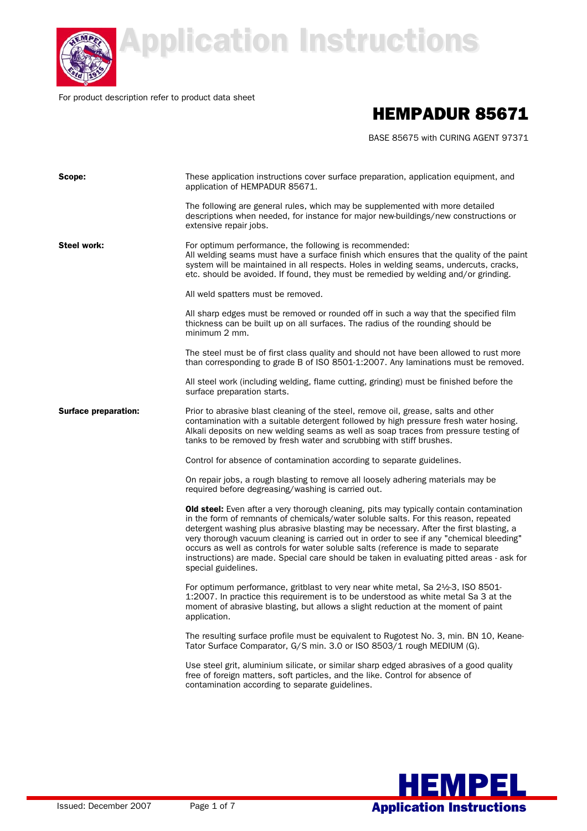

## **Application Instructions Application Instructions**

For product description refer to product data sheet

### HEMPADUR 85671

BASE 85675 with CURING AGENT 97371

| Scope:                      | These application instructions cover surface preparation, application equipment, and<br>application of HEMPADUR 85671.                                                                                                                                                                                                                                                                                                                                                                                                                                                               |
|-----------------------------|--------------------------------------------------------------------------------------------------------------------------------------------------------------------------------------------------------------------------------------------------------------------------------------------------------------------------------------------------------------------------------------------------------------------------------------------------------------------------------------------------------------------------------------------------------------------------------------|
|                             | The following are general rules, which may be supplemented with more detailed<br>descriptions when needed, for instance for major new-buildings/new constructions or<br>extensive repair jobs.                                                                                                                                                                                                                                                                                                                                                                                       |
| <b>Steel work:</b>          | For optimum performance, the following is recommended:<br>All welding seams must have a surface finish which ensures that the quality of the paint<br>system will be maintained in all respects. Holes in welding seams, undercuts, cracks,<br>etc. should be avoided. If found, they must be remedied by welding and/or grinding.                                                                                                                                                                                                                                                   |
|                             | All weld spatters must be removed.                                                                                                                                                                                                                                                                                                                                                                                                                                                                                                                                                   |
|                             | All sharp edges must be removed or rounded off in such a way that the specified film<br>thickness can be built up on all surfaces. The radius of the rounding should be<br>minimum 2 mm.                                                                                                                                                                                                                                                                                                                                                                                             |
|                             | The steel must be of first class quality and should not have been allowed to rust more<br>than corresponding to grade B of ISO 8501-1:2007. Any laminations must be removed.                                                                                                                                                                                                                                                                                                                                                                                                         |
|                             | All steel work (including welding, flame cutting, grinding) must be finished before the<br>surface preparation starts.                                                                                                                                                                                                                                                                                                                                                                                                                                                               |
| <b>Surface preparation:</b> | Prior to abrasive blast cleaning of the steel, remove oil, grease, salts and other<br>contamination with a suitable detergent followed by high pressure fresh water hosing.<br>Alkali deposits on new welding seams as well as soap traces from pressure testing of<br>tanks to be removed by fresh water and scrubbing with stiff brushes.                                                                                                                                                                                                                                          |
|                             | Control for absence of contamination according to separate guidelines.                                                                                                                                                                                                                                                                                                                                                                                                                                                                                                               |
|                             | On repair jobs, a rough blasting to remove all loosely adhering materials may be<br>required before degreasing/washing is carried out.                                                                                                                                                                                                                                                                                                                                                                                                                                               |
|                             | <b>Old steel:</b> Even after a very thorough cleaning, pits may typically contain contamination<br>in the form of remnants of chemicals/water soluble salts. For this reason, repeated<br>detergent washing plus abrasive blasting may be necessary. After the first blasting, a<br>very thorough vacuum cleaning is carried out in order to see if any "chemical bleeding"<br>occurs as well as controls for water soluble salts (reference is made to separate<br>instructions) are made. Special care should be taken in evaluating pitted areas - ask for<br>special guidelines. |
|                             | For optimum performance, gritblast to very near white metal, Sa 21/2-3, ISO 8501-<br>1:2007. In practice this requirement is to be understood as white metal Sa 3 at the<br>moment of abrasive blasting, but allows a slight reduction at the moment of paint<br>application.                                                                                                                                                                                                                                                                                                        |
|                             | The resulting surface profile must be equivalent to Rugotest No. 3, min. BN 10, Keane-<br>Tator Surface Comparator, G/S min. 3.0 or ISO 8503/1 rough MEDIUM (G).                                                                                                                                                                                                                                                                                                                                                                                                                     |
|                             | Use steel grit, aluminium silicate, or similar sharp edged abrasives of a good quality<br>free of foreign matters, soft particles, and the like. Control for absence of<br>contamination according to separate guidelines.                                                                                                                                                                                                                                                                                                                                                           |
|                             |                                                                                                                                                                                                                                                                                                                                                                                                                                                                                                                                                                                      |

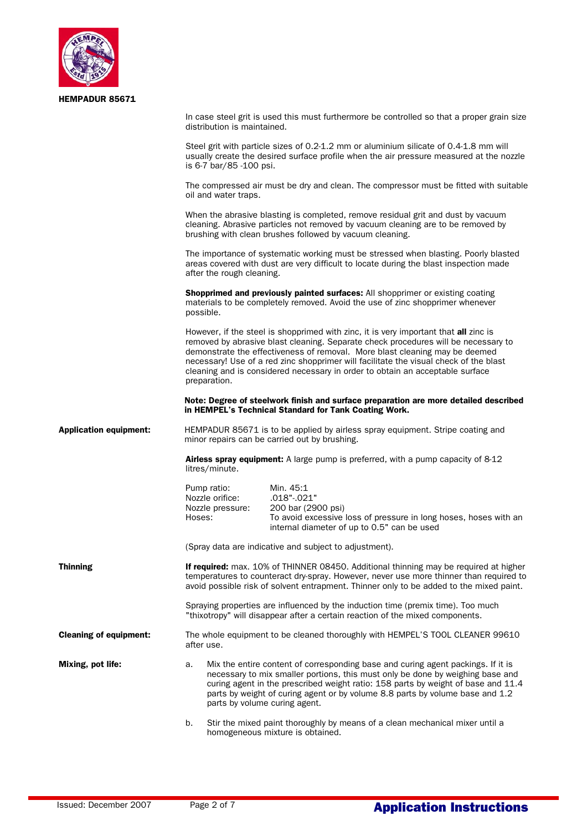| <b>HEMPADUR 85671</b>         |                                                                                                                                                                                                                                                                                                                                                                                                                                                     |
|-------------------------------|-----------------------------------------------------------------------------------------------------------------------------------------------------------------------------------------------------------------------------------------------------------------------------------------------------------------------------------------------------------------------------------------------------------------------------------------------------|
|                               | In case steel grit is used this must furthermore be controlled so that a proper grain size<br>distribution is maintained.                                                                                                                                                                                                                                                                                                                           |
|                               | Steel grit with particle sizes of 0.2-1.2 mm or aluminium silicate of 0.4-1.8 mm will<br>usually create the desired surface profile when the air pressure measured at the nozzle<br>is 6-7 bar/85 -100 psi.                                                                                                                                                                                                                                         |
|                               | The compressed air must be dry and clean. The compressor must be fitted with suitable<br>oil and water traps.                                                                                                                                                                                                                                                                                                                                       |
|                               | When the abrasive blasting is completed, remove residual grit and dust by vacuum<br>cleaning. Abrasive particles not removed by vacuum cleaning are to be removed by<br>brushing with clean brushes followed by vacuum cleaning.                                                                                                                                                                                                                    |
|                               | The importance of systematic working must be stressed when blasting. Poorly blasted<br>areas covered with dust are very difficult to locate during the blast inspection made<br>after the rough cleaning.                                                                                                                                                                                                                                           |
|                               | <b>Shopprimed and previously painted surfaces:</b> All shopprimer or existing coating<br>materials to be completely removed. Avoid the use of zinc shopprimer whenever<br>possible.                                                                                                                                                                                                                                                                 |
|                               | However, if the steel is shopprimed with zinc, it is very important that all zinc is<br>removed by abrasive blast cleaning. Separate check procedures will be necessary to<br>demonstrate the effectiveness of removal. More blast cleaning may be deemed<br>necessary! Use of a red zinc shopprimer will facilitate the visual check of the blast<br>cleaning and is considered necessary in order to obtain an acceptable surface<br>preparation. |
|                               | Note: Degree of steelwork finish and surface preparation are more detailed described<br>in HEMPEL's Technical Standard for Tank Coating Work.                                                                                                                                                                                                                                                                                                       |
| <b>Application equipment:</b> | HEMPADUR 85671 is to be applied by airless spray equipment. Stripe coating and<br>minor repairs can be carried out by brushing.                                                                                                                                                                                                                                                                                                                     |
|                               | Airless spray equipment: A large pump is preferred, with a pump capacity of 8-12<br>litres/minute.                                                                                                                                                                                                                                                                                                                                                  |
|                               | Pump ratio:<br>Min. 45:1                                                                                                                                                                                                                                                                                                                                                                                                                            |

 Nozzle orifice: .018"-.021" 200 bar (2900 psi) Hoses: To avoid excessive loss of pressure in long hoses, hoses with an internal diameter of up to 0.5" can be used

(Spray data are indicative and subject to adjustment).

**Thinning If required:** max. 10% of THINNER 08450. Additional thinning may be required at higher temperatures to counteract dry-spray. However, never use more thinner than required to avoid possible risk of solvent entrapment. Thinner only to be added to the mixed paint.

> Spraying properties are influenced by the induction time (premix time). Too much "thixotropy" will disappear after a certain reaction of the mixed components.

**Cleaning of equipment:** The whole equipment to be cleaned thoroughly with HEMPEL'S TOOL CLEANER 99610 after use.

- **Mixing, pot life:** a. Mix the entire content of corresponding base and curing agent packings. If it is necessary to mix smaller portions, this must only be done by weighing base and curing agent in the prescribed weight ratio: 158 parts by weight of base and 11.4 parts by weight of curing agent or by volume 8.8 parts by volume base and 1.2 parts by volume curing agent.
	- b. Stir the mixed paint thoroughly by means of a clean mechanical mixer until a homogeneous mixture is obtained.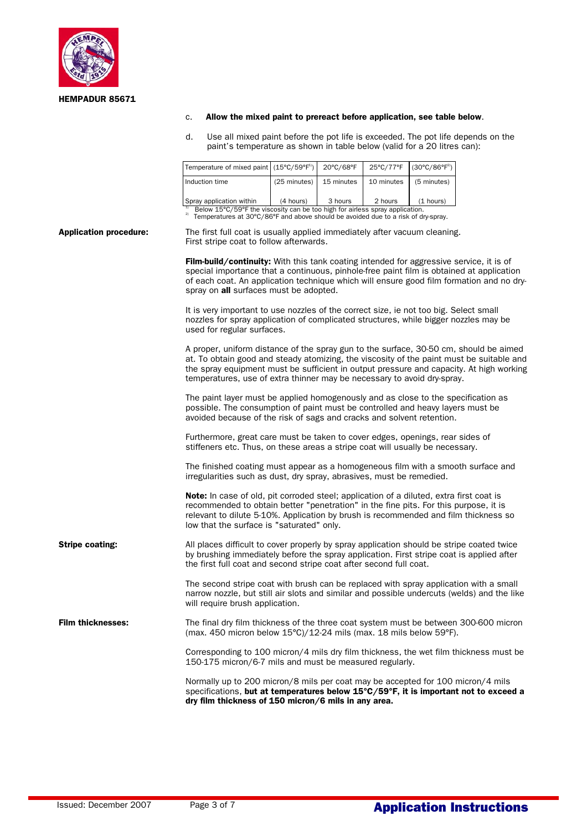

#### c. Allow the mixed paint to prereact before application, see table below.

 d. Use all mixed paint before the pot life is exceeded. The pot life depends on the paint's temperature as shown in table below (valid for a 20 litres can):

| Temperature of mixed paint $(15^{\circ}C/59^{\circ}F^{1})$                                                                                                              |              | 20°C/68°F  | 25°C/77°F  | $(30^{\circ}C/86^{\circ}F^{2})$ |
|-------------------------------------------------------------------------------------------------------------------------------------------------------------------------|--------------|------------|------------|---------------------------------|
| Induction time                                                                                                                                                          | (25 minutes) | 15 minutes | 10 minutes | (5 minutes)                     |
| Spray application within                                                                                                                                                | (4 hours)    | 3 hours    | 2 hours    | (1 hours)                       |
| Below 15°C/59°F the viscosity can be too high for airless spray application.<br>2)<br>Temperatures at 30°C/86°F and above should be avoided due to a risk of dry-spray. |              |            |            |                                 |

#### Application procedure: The first full coat is usually applied immediately after vacuum cleaning. First stripe coat to follow afterwards.

Film-build/continuity: With this tank coating intended for aggressive service, it is of special importance that a continuous, pinhole-free paint film is obtained at application of each coat. An application technique which will ensure good film formation and no dryspray on all surfaces must be adopted. It is very important to use nozzles of the correct size, ie not too big. Select small nozzles for spray application of complicated structures, while bigger nozzles may be used for regular surfaces. A proper, uniform distance of the spray gun to the surface, 30-50 cm, should be aimed at. To obtain good and steady atomizing, the viscosity of the paint must be suitable and the spray equipment must be sufficient in output pressure and capacity. At high working temperatures, use of extra thinner may be necessary to avoid dry-spray. The paint layer must be applied homogenously and as close to the specification as possible. The consumption of paint must be controlled and heavy layers must be avoided because of the risk of sags and cracks and solvent retention. Furthermore, great care must be taken to cover edges, openings, rear sides of stiffeners etc. Thus, on these areas a stripe coat will usually be necessary. The finished coating must appear as a homogeneous film with a smooth surface and irregularities such as dust, dry spray, abrasives, must be remedied. Note: In case of old, pit corroded steel; application of a diluted, extra first coat is recommended to obtain better "penetration" in the fine pits. For this purpose, it is relevant to dilute 5-10%. Application by brush is recommended and film thickness so low that the surface is "saturated" only. **Stripe coating:** All places difficult to cover properly by spray application should be stripe coated twice by brushing immediately before the spray application. First stripe coat is applied after the first full coat and second stripe coat after second full coat. The second stripe coat with brush can be replaced with spray application with a small narrow nozzle, but still air slots and similar and possible undercuts (welds) and the like will require brush application. Film thicknesses: The final dry film thickness of the three coat system must be between 300-600 micron (max. 450 micron below 15°C)/12-24 mils (max. 18 mils below 59°F). Corresponding to 100 micron/4 mils dry film thickness, the wet film thickness must be 150-175 micron/6-7 mils and must be measured regularly. Normally up to 200 micron/8 mils per coat may be accepted for 100 micron/4 mils specifications, but at temperatures below 15°C/59°F, it is important not to exceed a dry film thickness of 150 micron/6 mils in any area.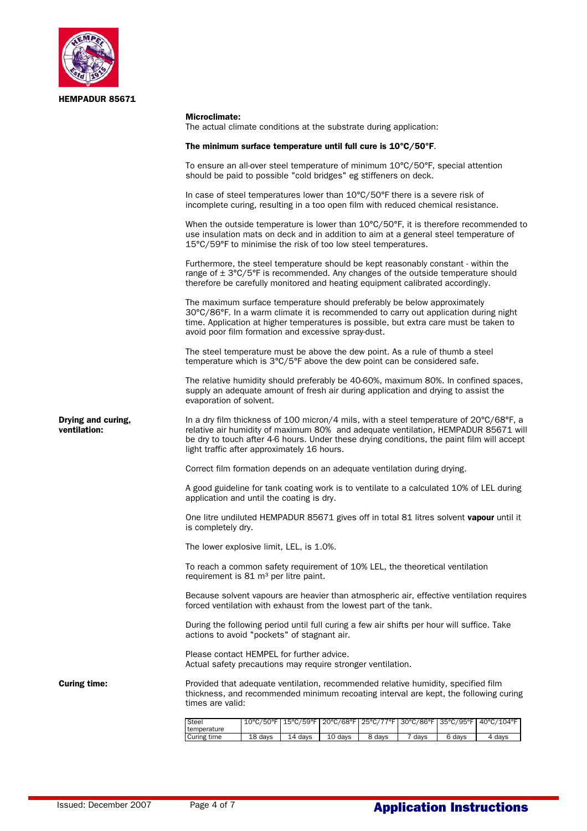

#### Microclimate:

The actual climate conditions at the substrate during application:

#### The minimum surface temperature until full cure is 10°C/50°F.

To ensure an all-over steel temperature of minimum 10°C/50°F, special attention should be paid to possible "cold bridges" eg stiffeners on deck.

In case of steel temperatures lower than 10°C/50°F there is a severe risk of incomplete curing, resulting in a too open film with reduced chemical resistance.

When the outside temperature is lower than  $10^{\circ}$ C/50°F, it is therefore recommended to use insulation mats on deck and in addition to aim at a general steel temperature of 15°C/59°F to minimise the risk of too low steel temperatures.

Furthermore, the steel temperature should be kept reasonably constant - within the range of  $\pm$  3°C/5°F is recommended. Any changes of the outside temperature should therefore be carefully monitored and heating equipment calibrated accordingly.

The maximum surface temperature should preferably be below approximately 30°C/86°F. In a warm climate it is recommended to carry out application during night time. Application at higher temperatures is possible, but extra care must be taken to avoid poor film formation and excessive spray-dust.

The steel temperature must be above the dew point. As a rule of thumb a steel temperature which is 3°C/5°F above the dew point can be considered safe.

The relative humidity should preferably be 40-60%, maximum 80%. In confined spaces, supply an adequate amount of fresh air during application and drying to assist the evaporation of solvent.

**Drying and curing,** In a dry film thickness of 100 micron/4 mils, with a steel temperature of 20°C/68°F, a ventilation:<br> **ventilation:** Telative air humidity of maximum 80% and adequate ventilation. HEMPADUR 85671 wil ventilation: relative air humidity of maximum 80% and adequate ventilation, HEMPADUR 85671 will be dry to touch after 4-6 hours. Under these drying conditions, the paint film will accept light traffic after approximately 16 hours.

Correct film formation depends on an adequate ventilation during drying.

A good guideline for tank coating work is to ventilate to a calculated 10% of LEL during application and until the coating is dry.

One litre undiluted HEMPADUR 85671 gives off in total 81 litres solvent vapour until it is completely dry.

The lower explosive limit, LEL, is 1.0%.

To reach a common safety requirement of 10% LEL, the theoretical ventilation requirement is  $81 \text{ m}^3$  per litre paint.

Because solvent vapours are heavier than atmospheric air, effective ventilation requires forced ventilation with exhaust from the lowest part of the tank.

During the following period until full curing a few air shifts per hour will suffice. Take actions to avoid "pockets" of stagnant air.

Please contact HEMPEL for further advice. Actual safety precautions may require stronger ventilation.

**Curing time:** Provided that adequate ventilation, recommended relative humidity, specified film thickness, and recommended minimum recoating interval are kept, the following curing times are valid:

| Steel       |         |         |         |        |                   |        | 10°C/50°F   15°C/59°F   20°C/68°F   25°C/77°F   30°C/86°F   35°C/95°F   40°C/104°F |
|-------------|---------|---------|---------|--------|-------------------|--------|------------------------------------------------------------------------------------|
| temperature |         |         |         |        |                   |        |                                                                                    |
| Curing time | 18 days | 14 davs | 10 days | 8 days | <sup>7</sup> days | 6 days | 4 davs                                                                             |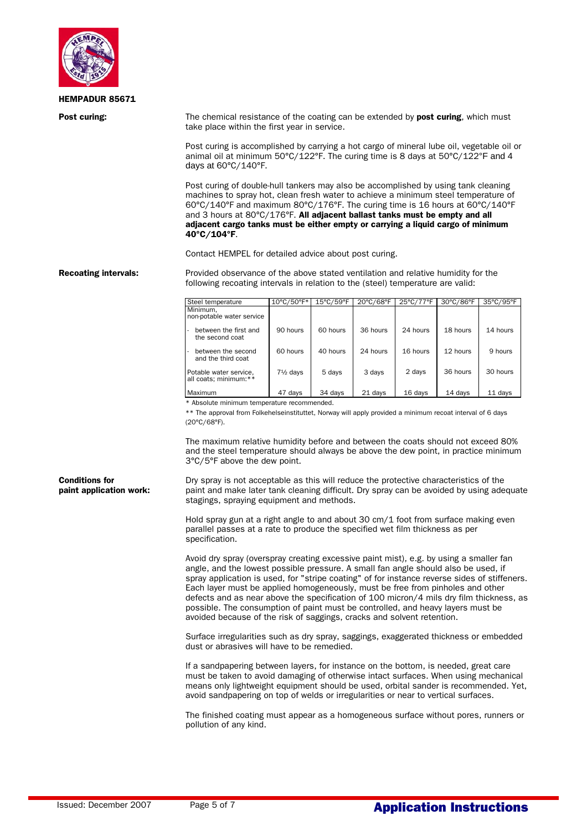

**Post curing:** The chemical resistance of the coating can be extended by **post curing**, which must take place within the first year in service.

> Post curing is accomplished by carrying a hot cargo of mineral lube oil, vegetable oil or animal oil at minimum 50°C/122°F. The curing time is 8 days at 50°C/122°F and 4 days at 60°C/140°F.

 Post curing of double-hull tankers may also be accomplished by using tank cleaning machines to spray hot, clean fresh water to achieve a minimum steel temperature of 60°C/140°F and maximum 80°C/176°F. The curing time is 16 hours at 60°C/140°F and 3 hours at 80°C/176°F. All adjacent ballast tanks must be empty and all adjacent cargo tanks must be either empty or carrying a liquid cargo of minimum 40°C/104°F.

Contact HEMPEL for detailed advice about post curing.

Recoating intervals: Provided observance of the above stated ventilation and relative humidity for the following recoating intervals in relation to the (steel) temperature are valid:

| Steel temperature                               | 10°C/50°F*          | $15^{\circ}$ C/59 $^{\circ}$ F | 20°C/68°F | 25°C/77°F | 30°C/86°F | 35°C/95°F |
|-------------------------------------------------|---------------------|--------------------------------|-----------|-----------|-----------|-----------|
| Minimum.<br>non-potable water service           |                     |                                |           |           |           |           |
| between the first and<br>the second coat        | 90 hours            | 60 hours                       | 36 hours  | 24 hours  | 18 hours  | 14 hours  |
| between the second<br>and the third coat        | 60 hours            | 40 hours                       | 24 hours  | 16 hours  | 12 hours  | 9 hours   |
| Potable water service,<br>all coats; minimum:** | $7\frac{1}{2}$ days | 5 days                         | 3 days    | 2 days    | 36 hours  | 30 hours  |
| Maximum                                         | 47 days             | 34 days                        | 21 days   | 16 days   | 14 days   | 11 days   |

\* Absolute minimum temperature recommended.

\*\* The approval from Folkehelseinstituttet, Norway will apply provided a minimum recoat interval of 6 days (20°C/68°F).

 The maximum relative humidity before and between the coats should not exceed 80% and the steel temperature should always be above the dew point, in practice minimum 3°C/5°F above the dew point.

**Conditions for** Dry spray is not acceptable as this will reduce the protective characteristics of the paint application work: paint and make later tank cleaning difficult. Dry spray can be avoided by using adequate stagings, spraying equipment and methods.

> Hold spray gun at a right angle to and about 30 cm/1 foot from surface making even parallel passes at a rate to produce the specified wet film thickness as per specification.

 Avoid dry spray (overspray creating excessive paint mist), e.g. by using a smaller fan angle, and the lowest possible pressure. A small fan angle should also be used, if spray application is used, for "stripe coating" of for instance reverse sides of stiffeners. Each layer must be applied homogeneously, must be free from pinholes and other defects and as near above the specification of 100 micron/4 mils dry film thickness, as possible. The consumption of paint must be controlled, and heavy layers must be avoided because of the risk of saggings, cracks and solvent retention.

 Surface irregularities such as dry spray, saggings, exaggerated thickness or embedded dust or abrasives will have to be remedied.

 If a sandpapering between layers, for instance on the bottom, is needed, great care must be taken to avoid damaging of otherwise intact surfaces. When using mechanical means only lightweight equipment should be used, orbital sander is recommended. Yet, avoid sandpapering on top of welds or irregularities or near to vertical surfaces.

 The finished coating must appear as a homogeneous surface without pores, runners or pollution of any kind.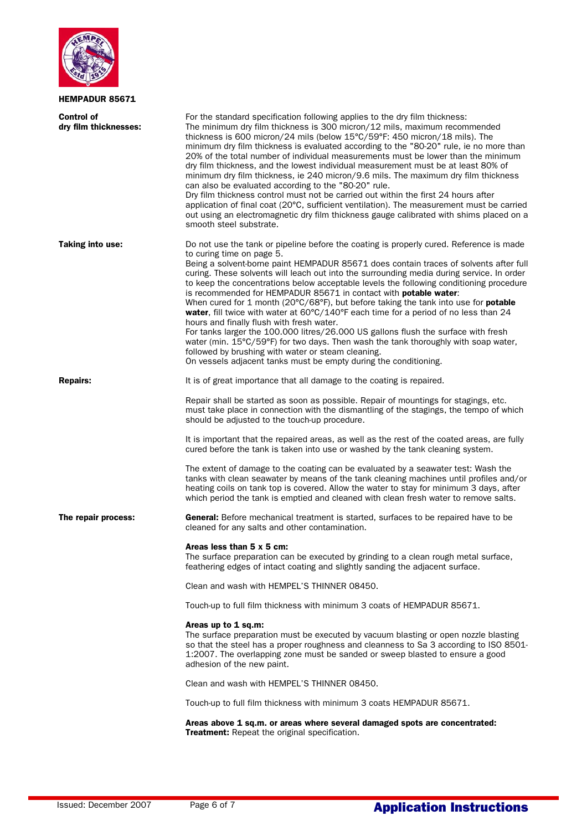

| Control of<br>dry film thicknesses: | For the standard specification following applies to the dry film thickness:<br>The minimum dry film thickness is 300 micron/12 mils, maximum recommended<br>thickness is 600 micron/24 mils (below 15°C/59°F: 450 micron/18 mils). The<br>minimum dry film thickness is evaluated according to the "80-20" rule, ie no more than<br>20% of the total number of individual measurements must be lower than the minimum<br>dry film thickness, and the lowest individual measurement must be at least 80% of<br>minimum dry film thickness, ie 240 micron/9.6 mils. The maximum dry film thickness<br>can also be evaluated according to the "80-20" rule.<br>Dry film thickness control must not be carried out within the first 24 hours after<br>application of final coat (20°C, sufficient ventilation). The measurement must be carried<br>out using an electromagnetic dry film thickness gauge calibrated with shims placed on a<br>smooth steel substrate.                                                                                       |
|-------------------------------------|---------------------------------------------------------------------------------------------------------------------------------------------------------------------------------------------------------------------------------------------------------------------------------------------------------------------------------------------------------------------------------------------------------------------------------------------------------------------------------------------------------------------------------------------------------------------------------------------------------------------------------------------------------------------------------------------------------------------------------------------------------------------------------------------------------------------------------------------------------------------------------------------------------------------------------------------------------------------------------------------------------------------------------------------------------|
| Taking into use:                    | Do not use the tank or pipeline before the coating is properly cured. Reference is made<br>to curing time on page 5.<br>Being a solvent-borne paint HEMPADUR 85671 does contain traces of solvents after full<br>curing. These solvents will leach out into the surrounding media during service. In order<br>to keep the concentrations below acceptable levels the following conditioning procedure<br>is recommended for HEMPADUR 85671 in contact with <b>potable water:</b><br>When cured for 1 month (20°C/68°F), but before taking the tank into use for <b>potable</b><br>water, fill twice with water at $60^{\circ}C/140^{\circ}F$ each time for a period of no less than 24<br>hours and finally flush with fresh water.<br>For tanks larger the 100.000 litres/26.000 US gallons flush the surface with fresh<br>water (min. 15°C/59°F) for two days. Then wash the tank thoroughly with soap water,<br>followed by brushing with water or steam cleaning.<br>On vessels adjacent tanks must be empty during the conditioning.              |
| <b>Repairs:</b>                     | It is of great importance that all damage to the coating is repaired.<br>Repair shall be started as soon as possible. Repair of mountings for stagings, etc.<br>must take place in connection with the dismantling of the stagings, the tempo of which<br>should be adjusted to the touch-up procedure.<br>It is important that the repaired areas, as well as the rest of the coated areas, are fully<br>cured before the tank is taken into use or washed by the tank cleaning system.<br>The extent of damage to the coating can be evaluated by a seawater test: Wash the<br>tanks with clean seawater by means of the tank cleaning machines until profiles and/or<br>heating coils on tank top is covered. Allow the water to stay for minimum 3 days, after<br>which period the tank is emptied and cleaned with clean fresh water to remove salts.                                                                                                                                                                                              |
| The repair process:                 | <b>General:</b> Before mechanical treatment is started, surfaces to be repaired have to be<br>cleaned for any salts and other contamination.<br>Areas less than 5 x 5 cm:<br>The surface preparation can be executed by grinding to a clean rough metal surface,<br>feathering edges of intact coating and slightly sanding the adjacent surface.<br>Clean and wash with HEMPEL'S THINNER 08450.<br>Touch-up to full film thickness with minimum 3 coats of HEMPADUR 85671.<br>Areas up to 1 sq.m:<br>The surface preparation must be executed by vacuum blasting or open nozzle blasting<br>so that the steel has a proper roughness and cleanness to Sa 3 according to ISO 8501-<br>1:2007. The overlapping zone must be sanded or sweep blasted to ensure a good<br>adhesion of the new paint.<br>Clean and wash with HEMPEL'S THINNER 08450.<br>Touch-up to full film thickness with minimum 3 coats HEMPADUR 85671.<br>Areas above 1 sq.m. or areas where several damaged spots are concentrated:<br>Treatment: Repeat the original specification. |